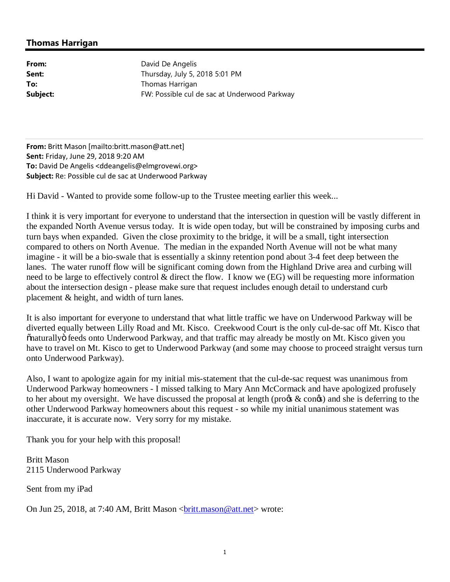## **Thomas Harrigan**

From: David De Angelis **Sent:** Thursday, July 5, 2018 5:01 PM **To:** Thomas Harrigan **Subject:** FW: Possible cul de sac at Underwood Parkway

**From:** Britt Mason [mailto:britt.mason@att.net] **Sent:** Friday, June 29, 2018 9:20 AM **To:** David De Angelis <ddeangelis@elmgrovewi.org> **Subject:** Re: Possible cul de sac at Underwood Parkway

Hi David - Wanted to provide some follow-up to the Trustee meeting earlier this week...

I think it is very important for everyone to understand that the intersection in question will be vastly different in the expanded North Avenue versus today. It is wide open today, but will be constrained by imposing curbs and turn bays when expanded. Given the close proximity to the bridge, it will be a small, tight intersection compared to others on North Avenue. The median in the expanded North Avenue will not be what many imagine - it will be a bio-swale that is essentially a skinny retention pond about 3-4 feet deep between the lanes. The water runoff flow will be significant coming down from the Highland Drive area and curbing will need to be large to effectively control & direct the flow. I know we (EG) will be requesting more information about the intersection design - please make sure that request includes enough detail to understand curb placement & height, and width of turn lanes.

It is also important for everyone to understand that what little traffic we have on Underwood Parkway will be diverted equally between Lilly Road and Mt. Kisco. Creekwood Court is the only cul-de-sac off Mt. Kisco that "naturally" feeds onto Underwood Parkway, and that traffic may already be mostly on Mt. Kisco given you have to travel on Mt. Kisco to get to Underwood Parkway (and some may choose to proceed straight versus turn onto Underwood Parkway).

Also, I want to apologize again for my initial mis-statement that the cul-de-sac request was unanimous from Underwood Parkway homeowners - I missed talking to Mary Ann McCormack and have apologized profusely to her about my oversight. We have discussed the proposal at length (pro $\&$  con $\&$ ) and she is deferring to the other Underwood Parkway homeowners about this request - so while my initial unanimous statement was inaccurate, it is accurate now. Very sorry for my mistake.

Thank you for your help with this proposal!

Britt Mason 2115 Underwood Parkway

Sent from my iPad

On Jun 25, 2018, at 7:40 AM, Britt Mason <br/>
<u><br/>charal and east net</u>> wrote: